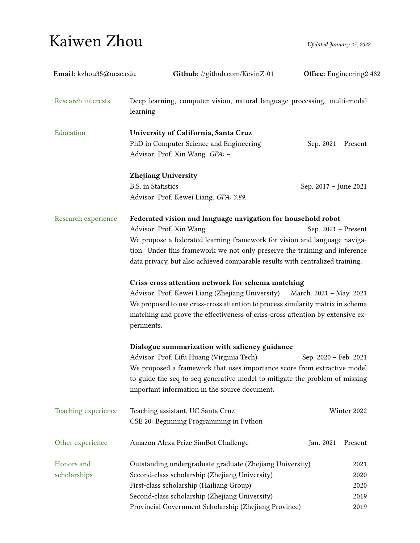## $Kaiwen Zhou$  Updated January 25, 2022

| Email: kzhou35@ucsc.edu   | Github: //github.com/KevinZ-01                                                               | Office: Engineering2 482 |  |
|---------------------------|----------------------------------------------------------------------------------------------|--------------------------|--|
| <b>Research interests</b> | Deep learning, computer vision, natural language processing, multi-modal<br>learning         |                          |  |
| Education                 | University of California, Santa Cruz                                                         |                          |  |
|                           | PhD in Computer Science and Engineering<br>Advisor: Prof. Xin Wang. GPA: -.                  | Sep. 2021 - Present      |  |
|                           | <b>Zhejiang University</b>                                                                   |                          |  |
|                           | <b>B.S.</b> in Statistics                                                                    | Sep. 2017 - June 2021    |  |
|                           | Advisor: Prof. Kewei Liang. GPA: 3.89.                                                       |                          |  |
| Research experience       | Federated vision and language navigation for household robot                                 |                          |  |
|                           | Advisor: Prof. Xin Wang                                                                      | Sep. 2021 - Present      |  |
|                           | We propose a federated learning framework for vision and language naviga-                    |                          |  |
|                           | tion. Under this framework we not only preserve the training and inference                   |                          |  |
|                           | data privacy, but also achieved comparable results with centralized training.                |                          |  |
|                           | Criss-cross attention network for schema matching                                            |                          |  |
|                           | Advisor: Prof. Kewei Liang (Zhejiang University)                                             | March. 2021 - May. 2021  |  |
|                           | We proposed to use criss-cross attention to process similarity matrix in schema              |                          |  |
|                           | matching and prove the effectiveness of criss-cross attention by extensive ex-<br>periments. |                          |  |
|                           | Dialogue summarization with saliency guidance                                                |                          |  |
|                           | Advisor: Prof. Lifu Huang (Virginia Tech)                                                    | Sep. 2020 - Feb. 2021    |  |
|                           | We proposed a framework that uses importance score from extractive model                     |                          |  |
|                           | to guide the seq-to-seq generative model to mitigate the problem of missing                  |                          |  |
|                           | important information in the source document.                                                |                          |  |
| Teaching experience       | Teaching assistant, UC Santa Cruz                                                            | Winter 2022              |  |
|                           | CSE 20: Beginning Programming in Python                                                      |                          |  |
| Other experience          | Amazon Alexa Prize SimBot Challenge                                                          | Jan. 2021 - Present      |  |
| Honors and                | Outstanding undergraduate graduate (Zhejiang University)                                     | 2021                     |  |
| scholarships              | Second-class scholarship (Zhejiang University)                                               | 2020                     |  |
|                           | First-class scholarship (Hailiang Group)                                                     | 2020                     |  |
|                           | Second-class scholarship (Zhejiang University)                                               | 2019                     |  |
|                           | Provincial Government Scholarship (Zhejiang Province)                                        | 2019                     |  |